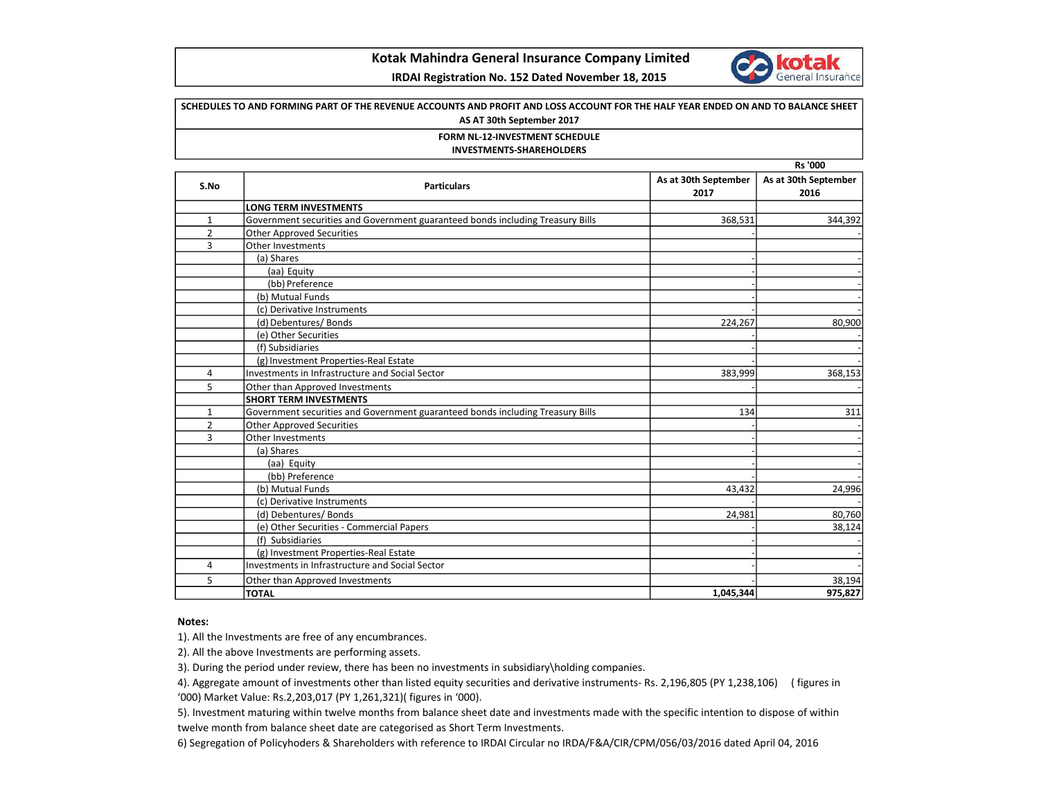

## Kotak Mahindra General Insurance Company Limited

## IRDAI Registration No. 152 Dated November 18, 2015

# Rs '000 SCHEDULES TO AND FORMING PART OF THE REVENUE ACCOUNTS AND PROFIT AND LOSS ACCOUNT FOR THE HALF YEAR ENDED ON AND TO BALANCE SHEET AS AT 30th September 2017 FORM NL-12-INVESTMENT SCHEDULE INVESTMENTS-SHAREHOLDERS

| S.No           | <b>Particulars</b>                                                             | As at 30th September<br>2017 | As at 30th September<br>2016 |
|----------------|--------------------------------------------------------------------------------|------------------------------|------------------------------|
|                | <b>LONG TERM INVESTMENTS</b>                                                   |                              |                              |
| $\mathbf{1}$   | Government securities and Government guaranteed bonds including Treasury Bills | 368,531                      | 344,392                      |
| $\overline{2}$ | <b>Other Approved Securities</b>                                               |                              |                              |
| 3              | Other Investments                                                              |                              |                              |
|                | (a) Shares                                                                     |                              |                              |
|                | (aa) Equity                                                                    |                              |                              |
|                | (bb) Preference                                                                |                              |                              |
|                | (b) Mutual Funds                                                               |                              |                              |
|                | (c) Derivative Instruments                                                     |                              |                              |
|                | (d) Debentures/ Bonds                                                          | 224,267                      | 80,900                       |
|                | (e) Other Securities                                                           |                              |                              |
|                | (f) Subsidiaries                                                               |                              |                              |
|                | (g) Investment Properties-Real Estate                                          |                              |                              |
| 4              | <b>Investments in Infrastructure and Social Sector</b>                         | 383,999                      | 368,153                      |
| 5              | Other than Approved Investments                                                |                              |                              |
|                | <b>SHORT TERM INVESTMENTS</b>                                                  |                              |                              |
| $\mathbf{1}$   | Government securities and Government guaranteed bonds including Treasury Bills | 134                          | 311                          |
| $\overline{2}$ | <b>Other Approved Securities</b>                                               |                              |                              |
| 3              | Other Investments                                                              |                              |                              |
|                | (a) Shares                                                                     |                              |                              |
|                | (aa) Equity                                                                    |                              |                              |
|                | (bb) Preference                                                                |                              |                              |
|                | (b) Mutual Funds                                                               | 43,432                       | 24,996                       |
|                | (c) Derivative Instruments                                                     |                              |                              |
|                | (d) Debentures/Bonds                                                           | 24,981                       | 80,760                       |
|                | (e) Other Securities - Commercial Papers                                       |                              | 38,124                       |
|                | (f) Subsidiaries                                                               |                              |                              |
|                | (g) Investment Properties-Real Estate                                          |                              |                              |
| 4              | Investments in Infrastructure and Social Sector                                |                              |                              |
| 5              | Other than Approved Investments                                                |                              | 38,194                       |
|                | <b>TOTAL</b>                                                                   | 1,045,344                    | 975,827                      |

### Notes:

1). All the Investments are free of any encumbrances.

2). All the above Investments are performing assets.

3). During the period under review, there has been no investments in subsidiary\holding companies.

4). Aggregate amount of investments other than listed equity securities and derivative instruments- Rs. 2,196,805 (PY 1,238,106) ( figures in '000) Market Value: Rs.2,203,017 (PY 1,261,321)( figures in '000).

5). Investment maturing within twelve months from balance sheet date and investments made with the specific intention to dispose of within twelve month from balance sheet date are categorised as Short Term Investments.

6) Segregation of Policyhoders & Shareholders with reference to IRDAI Circular no IRDA/F&A/CIR/CPM/056/03/2016 dated April 04, 2016